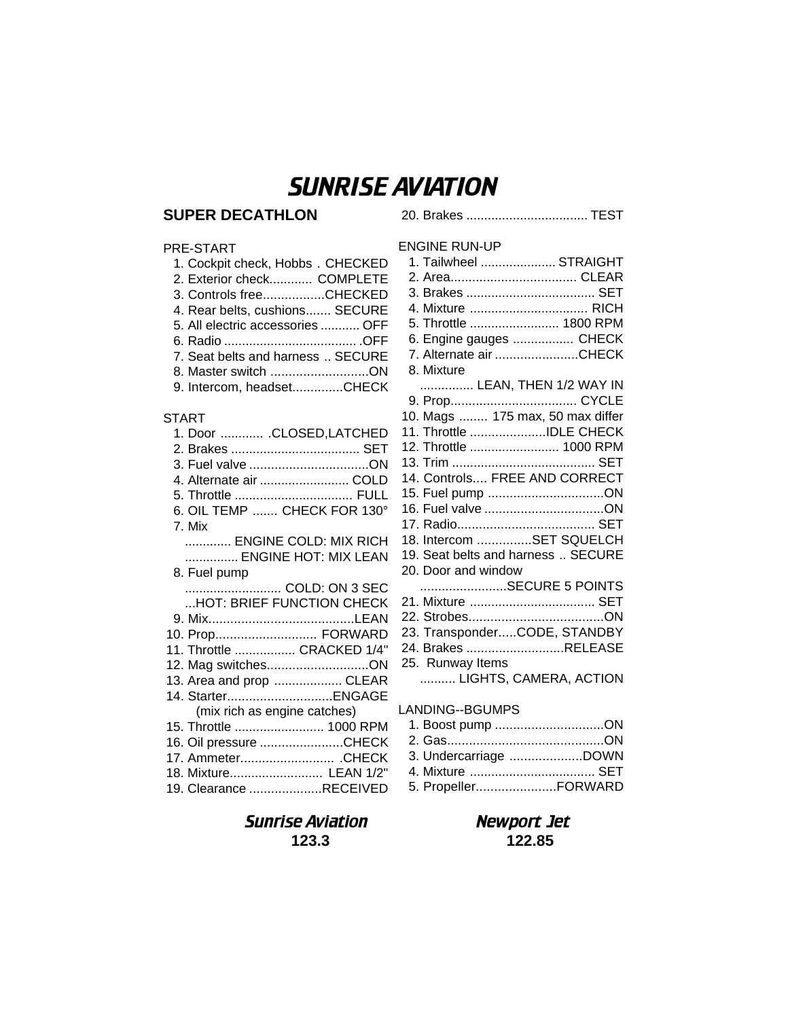# SUNRISE AVIATION

# **SUPER DECATHLON**

### PRE-START

| 1. Cockpit check, Hobbs. CHECKED  |
|-----------------------------------|
| 2. Exterior check COMPLETE        |
| 3. Controls freeCHECKED           |
| 4. Rear belts, cushions SECURE    |
| 5. All electric accessories  OFF  |
|                                   |
| 7. Seat belts and harness  SECURE |
| 8. Master switch ON               |
| 9. Intercom, headsetCHECK         |

### START

| 1. Door  .CLOSED,LATCHED     |  |
|------------------------------|--|
| 3. Fuel valve ON             |  |
| 4. Alternate air  COLD       |  |
|                              |  |
| 6. OIL TEMP  CHECK FOR 130°  |  |
| 7. Mix                       |  |
| ENGINE COLD: MIX RICH        |  |
| ENGINE HOT: MIX LEAN         |  |
| 8. Fuel pump                 |  |
| COLD: ON 3 SEC               |  |
| HOT: BRIEF FUNCTION CHECK    |  |
|                              |  |
| 10. Prop FORWARD             |  |
| 11. Throttle  CRACKED 1/4"   |  |
| 12. Mag switchesON           |  |
| 13. Area and prop  CLEAR     |  |
| 14. StarterENGAGE            |  |
| (mix rich as engine catches) |  |
| 15. Throttle  1000 RPM       |  |
| 16. Oil pressure CHECK       |  |
| 17. Ammeter CHECK            |  |
| 18. Mixture LEAN 1/2"        |  |
| 19. Clearance RECEIVED       |  |

# ENGINE RUN-UP 1. Tailwheel ..................... STRAIGHT 2. Area................................... CLEAR 3. Brakes .................................... SET 4. Mixture ................................. RICH 5. Throttle ......................... 1800 RPM 6. Engine gauges ................. CHECK 7. Alternate air .......................CHECK 8. Mixture ............... LEAN, THEN 1/2 WAY IN 9. Prop................................... CYCLE 10. Mags ........ 175 max, 50 max differ 11. Throttle .....................IDLE CHECK 12. Throttle ......................... 1000 RPM 13. Trim ........................................ SET 14. Controls.... FREE AND CORRECT 15. Fuel pump ................................ON 16. Fuel valve.................................ON 17. Radio...................................... SET 18. Intercom ...............SET SQUELCH 19. Seat belts and harness .. SECURE 20. Door and window ........................SECURE 5 POINTS 21. Mixture ................................... SET 22. Strobes.....................................ON 23. Transponder.....CODE, STANDBY 24. Brakes ...........................RELEASE 25. Runway Items .......... LIGHTS, CAMERA, ACTION LANDING--BGUMPS

20. Brakes .................................. TEST

| 1. Boost pump ON      |  |
|-----------------------|--|
|                       |  |
| 3. Undercarriage DOWN |  |
|                       |  |
| 5. PropellerFORWARD   |  |

# Sunrise Aviation Newport Jet **123.3 122.85**